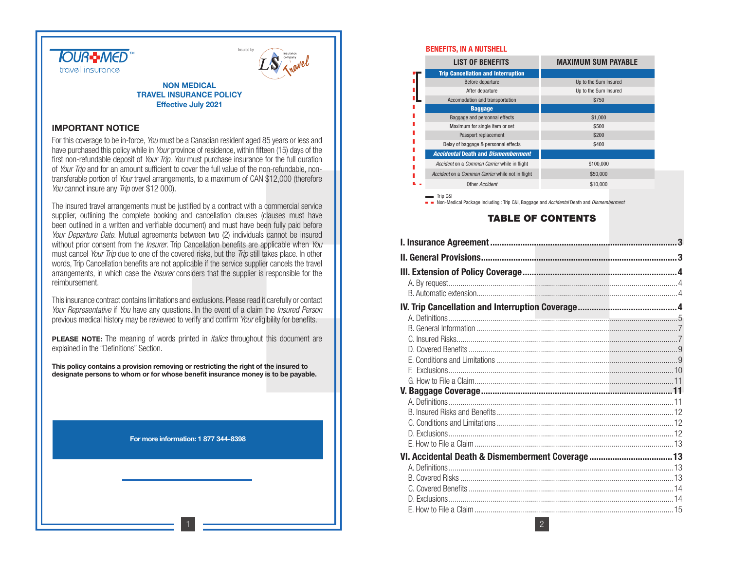



#### **NON MEDICAL TRAVEL INSURANCE POLICYEffective July 2021**

#### **IMPORTANT NOTICE**

For this coverage to be in-force, You must be a Canadian resident aged 85 years or less and have purchased this policy while in *Your* province of residence, within fifteen (15) days of the first non-refundable deposit of *Your Trip. You* must purchase insurance for the full duration of Your Trip and for an amount sufficient to cover the full value of the non-refundable, nontransferable portion of Your travel arrangements, to a maximum of CAN \$12,000 (therefore You cannot insure any Trip over \$12 000).

The insured travel arrangements must be justified by a contract with a commercial service supplier, outlining the complete booking and cancellation clauses (clauses must have been outlined in a written and verifiable document) and must have been fully paid before Your Departure Date. Mutual agreements between two (2) individuals cannot be insured without prior consent from the *Insurer*. Trip Cancellation benefits are applicable when You must cancel Your Trip due to one of the covered risks, but the Trip still takes place. In other words, Trip Cancellation benefits are not applicable if the service supplier cancels the travel arrangements, in which case the Insurer considers that the supplier is responsible for the reimbursement.

This insurance contract contains limitations and exclusions. Please read it carefully or contact Your Representative if You have any questions. In the event of a claim the *Insured Person* previous medical history may be reviewed to verify and confirm Your eligibility for benefits.

**PLEASE NOTE:** The meaning of words printed in *italics* throughout this document are explained in the "Definitions" Section.

**This policy contains a provision removing or restricting the right of the insured to designate persons to whom or for whose benefit insurance money is to be payable.**

#### **For more information: 1 877 344-8398**

1

#### **BENEFITS, IN A NUTSHELL**

| <b>LIST OF BENEFITS</b>                          | <b>MAXIMUM SUM PAYABLE</b> |
|--------------------------------------------------|----------------------------|
| <b>Trip Cancellation and Interruption</b>        |                            |
| Before departure                                 | Up to the Sum Insured      |
| After departure                                  | Up to the Sum Insured      |
| Accomodation and transportation                  | \$750                      |
| <b>Baggage</b>                                   |                            |
| Baggage and personnal effects                    | \$1,000                    |
| Maximum for single item or set                   | \$500                      |
| Passport replacement                             | \$200                      |
| Delay of baggage & personnal effects             | \$400                      |
| <b>Accidental Death and Dismemberment</b>        |                            |
| Accident on a Common Carrier while in flight     | \$100,000                  |
| Accident on a Common Carrier while not in flight | \$50,000                   |
| Other Accident                                   | \$10,000                   |
| Trin C&I                                         |                            |

Non-Medical Package Including : Trip C&I, Baggage and Accidental Death and Dismemberment

#### **TABLE OF CONTENTS**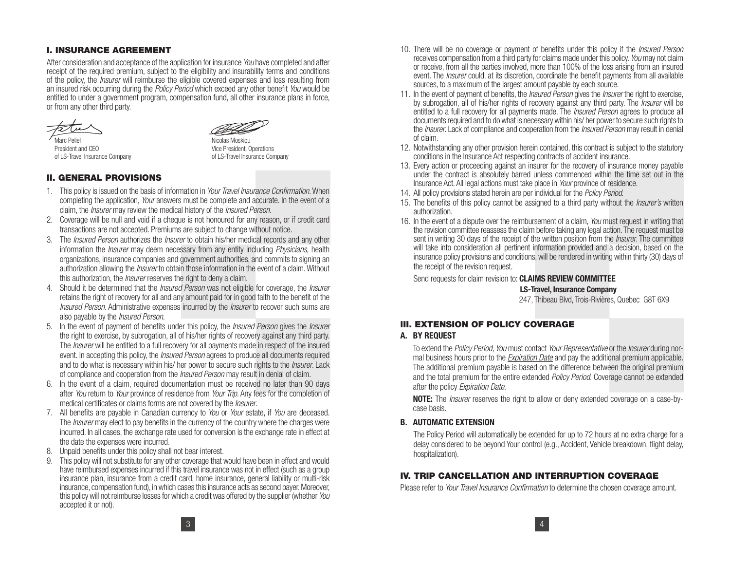#### **I. INSURANCE AGREEMENT**

After consideration and acceptance of the application for insurance You have completed and after receipt of the required premium, subject to the eligibility and insurability terms and conditions of the policy, the *Insurer* will reimburse the eligible covered expenses and loss resulting from an insured risk occurring during the *Policy Period* which exceed any other benefit You would be entitled to under a government program, compensation fund, all other insurance plans in force, or from any other third party.



President and CEO Vice President, Operations



Nicolas Moskiou of LS-Travel Insurance Company of LS-Travel Insurance Company

#### **II. GENERAL PROVISIONS**

- 1. This policy is issued on the basis of information in Your Travel Insurance Confirmation. When completing the application, Your answers must be complete and accurate. In the event of a claim, the Insurer may review the medical history of the Insured Person.
- 2. Coverage will be null and void if a cheque is not honoured for any reason, or if credit card transactions are not accepted. Premiums are subject to change without notice.
- 3. The *Insured Person* authorizes the *Insurer* to obtain his/her medical records and any other information the *Insurer* may deem necessary from any entity including *Physicians*, health organizations, insurance companies and government authorities, and commits to signing an authorization allowing the *Insurer* to obtain those information in the event of a claim. Without this authorization, the *Insurer* reserves the right to deny a claim.
- 4. Should it be determined that the *Insured Person* was not eligible for coverage, the *Insurer* retains the right of recovery for all and any amount paid for in good faith to the benefit of the Insured Person. Administrative expenses incurred by the Insurer to recover such sums are also payable by the Insured Person.
- 5. In the event of payment of benefits under this policy, the *Insured Person* gives the *Insurer* the right to exercise, by subrogation, all of his/her rights of recovery against any third party. The *Insurer* will be entitled to a full recovery for all payments made in respect of the insured event. In accepting this policy, the *Insured Person* agrees to produce all documents required and to do what is necessary within his/ her power to secure such rights to the *Insurer*. Lack of compliance and cooperation from the Insured Person may result in denial of claim.
- 6. In the event of a claim, required documentation must be received no later than 90 days after You return to Your province of residence from Your Trip. Any fees for the completion of medical certificates or claims forms are not covered by the Insurer.
- 7. All benefits are payable in Canadian currency to You or Your estate, if You are deceased. The *Insurer* may elect to pay benefits in the currency of the country where the charges were incurred. In all cases, the exchange rate used for conversion is the exchange rate in effect at the date the expenses were incurred.
- 8. Unpaid benefits under this policy shall not bear interest.
- 9. This policy will not substitute for any other coverage that would have been in effect and would have reimbursed expenses incurred if this travel insurance was not in effect (such as a group insurance plan, insurance from a credit card, home insurance, general liability or multi-risk insurance, compensation fund), in which cases this insurance acts as second payer. Moreover, this policy will not reimburse losses for which a credit was offered by the supplier (whether You accepted it or not).
- 10. There will be no coverage or payment of benefits under this policy if the *Insured Person* receives compensation from a third party for claims made under this policy. You may not claim or receive, from all the parties involved, more than 100% of the loss arising from an insured event. The *Insurer* could, at its discretion, coordinate the benefit payments from all available sources, to a maximum of the largest amount payable by each source.
- 11. In the event of payment of benefits, the *Insured Person* gives the *Insurer* the right to exercise, by subrogation, all of his/her rights of recovery against any third party. The *Insurer* will be entitled to a full recovery for all payments made. The *Insured Person* agrees to produce all documents required and to do what is necessary within his/ her power to secure such rights to the *Insurer*. Lack of compliance and cooperation from the *Insured Person* may result in denial of claim.
- 12. Notwithstanding any other provision herein contained, this contract is subject to the statutory conditions in the Insurance Act respecting contracts of accident insurance.
- 13. Every action or proceeding against an insurer for the recovery of insurance money payable under the contract is absolutely barred unless commenced within the time set out in the Insurance Act. All legal actions must take place in Your province of residence.
- 14. All policy provisions stated herein are per individual for the *Policy Period*.
- 15. The benefits of this policy cannot be assigned to a third party without the *Insurer's* written authorization.
- 16. In the event of a dispute over the reimbursement of a claim, You must request in writing that the revision committee reassess the claim before taking any legal action. The request must be sent in writing 30 days of the receipt of the written position from the *Insurer*. The committee will take into consideration all pertinent information provided and a decision, based on the insurance policy provisions and conditions, will be rendered in writing within thirty (30) days of the receipt of the revision request.

Send requests for claim revision to: **CLAIMS REVIEW COMMITTEE**

#### **LS-Travel, Insurance Company**

247, Thibeau Blvd, Trois-Rivières, Quebec G8T 6X9

#### **III. EXTENSION OF POLICY COVERAGE**

#### **A. BY REQUEST**

 To extend the Policy Period, You must contact Your Representative or the Insurer during normal business hours prior to the *Expiration Date* and pay the additional premium applicable. The additional premium payable is based on the difference between the original premium and the total premium for the entire extended *Policy Period*. Coverage cannot be extended after the policy Expiration Date.

**NOTE:** The *Insurer* reserves the right to allow or deny extended coverage on a case-bycase basis.

#### **B. AUTOMATIC EXTENSION**

The Policy Period will automatically be extended for up to 72 hours at no extra charge for a delay considered to be beyond Your control (e.g., Accident, Vehicle breakdown, flight delay, hospitalization).

#### **IV. TRIP CANCELLATION AND INTERRUPTION COVERAGE**

Please refer to *Your Travel Insurance Confirmation* to determine the chosen coverage amount.

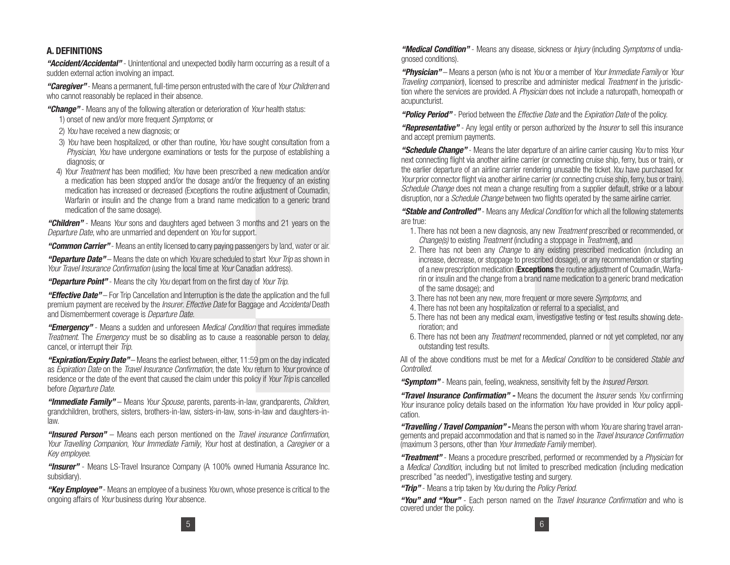## **A. DEFINITIONS**

*"Accident/Accidental"* - Unintentional and unexpected bodily harm occurring as a result of a sudden external action involving an impact.

*"Caregiver"* - Means a permanent, full-time person entrusted with the care of Your Children and who cannot reasonably be replaced in their absence.

#### *"Change"* - Means any of the following alteration or deterioration of Your health status:

1) onset of new and/or more frequent Symptoms; or

- 2) You have received a new diagnosis; or
- 3) You have been hospitalized, or other than routine. You have sought consultation from a Physician, You have undergone examinations or tests for the purpose of establishing a diagnosis; or
- 4) Your Treatment has been modified; You have been prescribed a new medication and/or a medication has been stopped and/or the dosage and/or the frequency of an existing medication has increased or decreased (Exceptions the routine adjustment of Coumadin, Warfarin or insulin and the change from a brand name medication to a generic brand medication of the same dosage).

*"Children"* - Means Your sons and daughters aged between 3 months and 21 years on the Departure Date, who are unmarried and dependent on You for support.

*"Common Carrier"* - Means an entity licensed to carry paying passengers by land, water or air.

*"Departure Date"* – Means the date on which You are scheduled to start Your Trip as shown in Your Travel Insurance Confirmation (using the local time at Your Canadian address).

*"Departure Point"* - Means the city You depart from on the first day of Your Trip.

*"Effective Date"* – For Trip Cancellation and Interruption is the date the application and the full premium payment are received by the *Insurer. Effective Date* for Baggage and *Accidental* Death and Dismemberment coverage is Departure Date.

*"Emergency"* - Means a sudden and unforeseen Medical Condition that requires immediate Treatment. The Emergency must be so disabling as to cause a reasonable person to delay, cancel, or interrupt their *Trip.* 

*"Expiration/Expiry Date"* – Means the earliest between, either, 11:59 pm on the day indicated as Expiration Date on the Travel Insurance Confirmation, the date You return to Your province of residence or the date of the event that caused the claim under this policy if Your Trip is cancelled before Departure Date.

*"Immediate Family"* – Means Your Spouse, parents, parents-in-law, grandparents, Children, grandchildren, brothers, sisters, brothers-in-law, sisters-in-law, sons-in-law and daughters-inlaw.

*"Insured Person"* – Means each person mentioned on the Travel insurance Confirmation, Your Travelling Companion, Your Immediate Family, Your host at destination, a Caregiver or a Key employee.

*"Insurer"* - Means LS-Travel Insurance Company (A 100% owned Humania Assurance Inc. subsidiary).

*"Key Employee"* - Means an employee of a business You own, whose presence is critical to the ongoing affairs of Your business during Your absence.

*"Medical Condition"* - Means any disease, sickness or Injury (including Symptoms of undiagnosed conditions).

*"Physician"* – Means a person (who is not You or a member of Your Immediate Family or Your Traveling companion), licensed to prescribe and administer medical Treatment in the jurisdiction where the services are provided. A Physician does not include a naturopath, homeopath or acupuncturist.

*"Policy Period"* - Period between the Effective Date and the Expiration Date of the policy.

*"Representative"* - Any legal entity or person authorized by the Insurer to sell this insurance and accept premium payments.

*"Schedule Change"* - Means the later departure of an airline carrier causing You to miss Your next connecting flight via another airline carrier (or connecting cruise ship, ferry, bus or train), or the earlier departure of an airline carrier rendering unusable the ticket You have purchased for Your prior connector flight via another airline carrier (or connecting cruise ship, ferry, bus or train). Schedule Change does not mean a change resulting from a supplier default, strike or a labour disruption, nor a *Schedule Change* between two flights operated by the same airline carrier.

*"Stable and Controlled"* - Means any Medical Condition for which all the following statements are true:

- 1. There has not been a new diagnosis, any new Treatment prescribed or recommended, or Change(s) to existing *Treatment* (including a stoppage in *Treatment*), and
- 2. There has not been any *Change* to any existing prescribed medication (including an increase, decrease, or stoppage to prescribed dosage), or any recommendation or starting of a new prescription medication (**Exceptions** the routine adjustment of Coumadin, Warfarin or insulin and the change from a brand name medication to a generic brand medication of the same dosage); and
- 3. There has not been any new, more frequent or more severe Symptoms, and
- 4. There has not been any hospitalization or referral to a specialist, and
- 5. There has not been any medical exam, investigative testing or test results showing deterioration; and
- 6. There has not been any Treatment recommended, planned or not yet completed, nor any outstanding test results.

All of the above conditions must be met for a Medical Condition to be considered Stable and Controlled.

"**Symptom**" - Means pain, feeling, weakness, sensitivity felt by the *Insured Person*.

*"Travel Insurance Confirmation" -* Means the document the Insurer sends You confirming Your insurance policy details based on the information You have provided in Your policy application.

*"Travelling / Travel Companion" -* Means the person with whom You are sharing travel arrangements and prepaid accommodation and that is named so in the Travel Insurance Confirmation (maximum 3 persons, other than Your Immediate Family member).

*"Treatment"* - Means a procedure prescribed, performed or recommended by a Physician for a Medical Condition, including but not limited to prescribed medication (including medication prescribed "as needed"), investigative testing and surgery.

*"Trip"* - Means a trip taken by You during the Policy Period.

*"You" and "Your"* - Each person named on the Travel Insurance Confirmation and who is covered under the policy.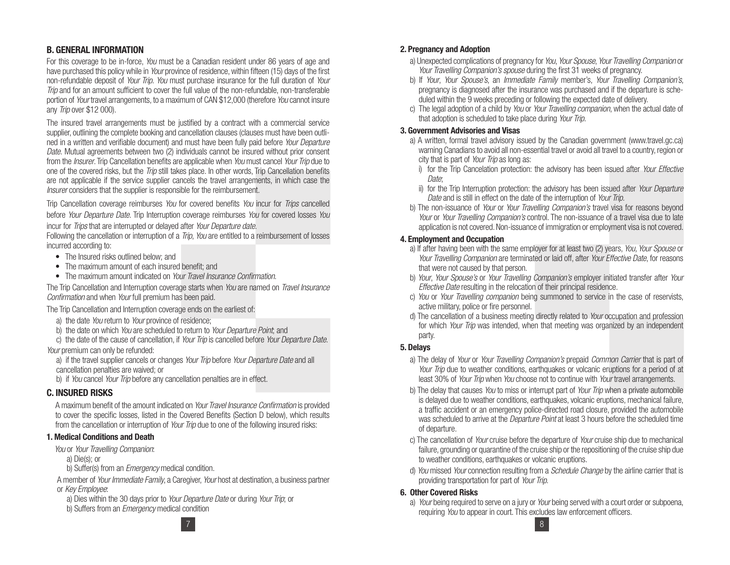## **B. GENERAL INFORMATION**

For this coverage to be in-force. You must be a Canadian resident under 86 years of age and have purchased this policy while in Your province of residence, within fifteen (15) days of the first non-refundable deposit of *Your Trip. You* must purchase insurance for the full duration of *Your* Trip and for an amount sufficient to cover the full value of the non-refundable, non-transferable portion of Your travel arrangements, to a maximum of CAN \$12,000 (therefore You cannot insure any Trip over \$12 000).

The insured travel arrangements must be justified by a contract with a commercial service supplier, outlining the complete booking and cancellation clauses (clauses must have been outlined in a written and verifiable document) and must have been fully paid before Your Departure Date. Mutual agreements between two (2) individuals cannot be insured without prior consent from the *Insurer*. Trip Cancellation benefits are applicable when You must cancel Your Trip due to one of the covered risks, but the *Trip* still takes place. In other words, Trip Cancellation benefits are not applicable if the service supplier cancels the travel arrangements, in which case the Insurer considers that the supplier is responsible for the reimbursement.

Trip Cancellation coverage reimburses You for covered benefits You incur for Trips cancelled before Your Departure Date. Trip Interruption coverage reimburses You for covered losses You incur for Trips that are interrupted or delayed after Your Departure date.

Following the cancellation or interruption of a *Trip, You* are entitled to a reimbursement of losses incurred according to:

- The Insured risks outlined below; and
- The maximum amount of each insured benefit: and
- The maximum amount indicated on *Your Travel Insurance Confirmation*.

The Trip Cancellation and Interruption coverage starts when You are named on Travel Insurance Confirmation and when Your full premium has been paid.

The Trip Cancellation and Interruption coverage ends on the earliest of:

- a) the date You return to Your province of residence;
- b) the date on which You are scheduled to return to Your Departure Point, and

c) the date of the cause of cancellation, if Your Trip is cancelled before Your Departure Date. Your premium can only be refunded:

a) if the travel supplier cancels or changes Your Trip before Your Departure Date and all cancellation penalties are waived; or

b) if You cancel Your Trip before any cancellation penalties are in effect.

## **C. INSURED RISKS**

A maximum benefit of the amount indicated on Your Travel Insurance Confirmation is provided to cover the specific losses, listed in the Covered Benefits (Section D below), which results from the cancellation or interruption of Your Trip due to one of the following insured risks:

#### **1. Medical Conditions and Death**

You or Your Travelling Companion:

a) Die(s); or

b) Suffer(s) from an *Emergency* medical condition.

A member of Your Immediate Family, a Caregiver, Your host at destination, a business partner or Key Employee:

a) Dies within the 30 days prior to Your Departure Date or during Your Trip; or b) Suffers from an *Emergency* medical condition

## **2. Pregnancy and Adoption**

- a) Unexpected complications of pregnancy for You, Your Spouse, Your Travelling Companion or Your Travelling Companion's spouse during the first 31 weeks of pregnancy.
- b) If Your, Your Spouse's, an Immediate Family member's, Your Travelling Companion's, pregnancy is diagnosed after the insurance was purchased and if the departure is scheduled within the 9 weeks preceding or following the expected date of delivery.
- c) The legal adoption of a child by You or Your Travelling companion, when the actual date of that adoption is scheduled to take place during Your Trip.

#### **3. Government Advisories and Visas**

- a) A written, formal travel advisory issued by the Canadian government (www.travel.gc.ca) warning Canadians to avoid all non-essential travel or avoid all travel to a country, region or city that is part of Your Trip as long as:
	- i) for the Trip Cancelation protection: the advisory has been issued after *Your Effective* Date:
	- ii) for the Trip Interruption protection: the advisory has been issued after Your Departure Date and is still in effect on the date of the interruption of Your Trip.
- b) The non-issuance of Your or Your Travelling Companion's travel visa for reasons beyond Your or Your Travelling Companion's control. The non-issuance of a travel visa due to late application is not covered. Non-issuance of immigration or employment visa is not covered.

#### **4. Employment and Occupation**

- a) If after having been with the same employer for at least two (2) years, You, Your Spouse or Your Travelling Companion are terminated or laid off, after Your Effective Date, for reasons that were not caused by that person.
- b) Your, Your Spouse's or Your Travelling Companion's employer initiated transfer after Your Effective Date resulting in the relocation of their principal residence.
- c) You or Your Travelling companion being summoned to service in the case of reservists, active military, police or fire personnel.
- d) The cancellation of a business meeting directly related to *Your* occupation and profession for which *Your Trip* was intended, when that meeting was organized by an independent party.

## **5. Delays**

- a) The delay of Your or Your Travelling Companion's prepaid Common Carrier that is part of Your Trip due to weather conditions, earthquakes or volcanic eruptions for a period of at least 30% of *Your Trip* when *You* choose not to continue with *Your* travel arrangements.
- b) The delay that causes You to miss or interrupt part of Your Trip when a private automobile is delayed due to weather conditions, earthquakes, volcanic eruptions, mechanical failure, a traffic accident or an emergency police-directed road closure, provided the automobile was scheduled to arrive at the *Departure Point* at least 3 hours before the scheduled time of departure.
- c) The cancellation of Your cruise before the departure of Your cruise ship due to mechanical failure, grounding or quarantine of the cruise ship or the repositioning of the cruise ship due to weather conditions, earthquakes or volcanic eruptions.
- d) You missed Your connection resulting from a Schedule Change by the airline carrier that is providing transportation for part of Your Trip.

## **6. Other Covered Risks**

a) Your being required to serve on a jury or Your being served with a court order or subpoena, requiring You to appear in court. This excludes law enforcement officers.

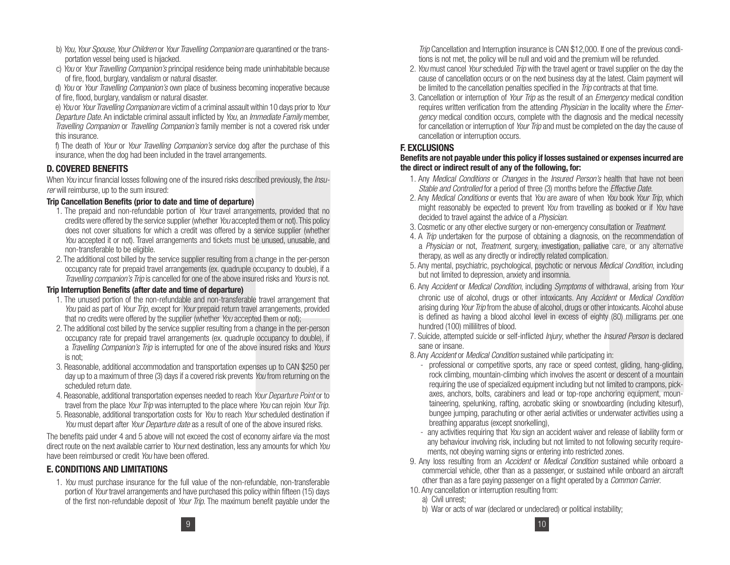- b) You, Your Spouse, Your Children or Your Travelling Companion are quarantined or the transportation vessel being used is hijacked.
- c) You or Your Travelling Companion's principal residence being made uninhabitable because of fire, flood, burglary, vandalism or natural disaster.

d) You or Your Travelling Companion's own place of business becoming inoperative because of fire, flood, burglary, vandalism or natural disaster.

e) You or Your Travelling Companion are victim of a criminal assault within 10 days prior to Your Departure Date. An indictable criminal assault inflicted by You, an Immediate Family member, Travelling Companion or Travelling Companion's family member is not a covered risk under this insurance.

f) The death of Your or Your Travelling Companion's service dog after the purchase of this insurance, when the dog had been included in the travel arrangements.

## **D. COVERED BENEFITS**

When You incur financial losses following one of the insured risks described previously, the *Insu*rer will reimburse, up to the sum insured:

#### **Trip Cancellation Benefits (prior to date and time of departure)**

- 1. The prepaid and non-refundable portion of *Your* travel arrangements, provided that no credits were offered by the service supplier (whether You accepted them or not). This policy does not cover situations for which a credit was offered by a service supplier (whether You accepted it or not). Travel arrangements and tickets must be unused, unusable, and non-transferable to be eligible.
- 2. The additional cost billed by the service supplier resulting from a change in the per-person occupancy rate for prepaid travel arrangements (ex. quadruple occupancy to double), if a Travelling companion's Trip is cancelled for one of the above insured risks and Yours is not.

#### **Trip Interruption Benefits (after date and time of departure)**

- 1. The unused portion of the non-refundable and non-transferable travel arrangement that You paid as part of Your Trip, except for Your prepaid return travel arrangements, provided that no credits were offered by the supplier (whether You accepted them or not);
- 2. The additional cost billed by the service supplier resulting from a change in the per-person occupancy rate for prepaid travel arrangements (ex. quadruple occupancy to double), if a Travelling Companion's Trip is interrupted for one of the above insured risks and Yours is not;
- 3. Reasonable, additional accommodation and transportation expenses up to CAN \$250 per day up to a maximum of three (3) days if a covered risk prevents You from returning on the scheduled return date.
- 4. Reasonable, additional transportation expenses needed to reach Your Departure Point or to travel from the place Your Trip was interrupted to the place where You can rejoin Your Trip.
- 5. Reasonable, additional transportation costs for You to reach Your scheduled destination if You must depart after Your Departure date as a result of one of the above insured risks.

The benefits paid under 4 and 5 above will not exceed the cost of economy airfare via the most direct route on the next available carrier to Your next destination, less any amounts for which You have been reimbursed or credit You have been offered.

## **E. CONDITIONS AND LIMITATIONS**

1. You must purchase insurance for the full value of the non-refundable, non-transferable portion of Your travel arrangements and have purchased this policy within fifteen (15) days of the first non-refundable deposit of Your Trip. The maximum benefit payable under the Trip Cancellation and Interruption insurance is CAN \$12,000. If one of the previous conditions is not met, the policy will be null and void and the premium will be refunded.

- 2. You must cancel Your scheduled Trip with the travel agent or travel supplier on the day the cause of cancellation occurs or on the next business day at the latest. Claim payment will be limited to the cancellation penalties specified in the *Trip* contracts at that time.
- 3. Cancellation or interruption of Your Trip as the result of an *Emergency* medical condition requires written verification from the attending *Physician* in the locality where the *Emer*gency medical condition occurs, complete with the diagnosis and the medical necessity for cancellation or interruption of *Your Trip* and must be completed on the day the cause of cancellation or interruption occurs.

## **F. EXCLUSIONS**

#### **Benefits are not payable under this policy if losses sustained or expenses incurred are the direct or indirect result of any of the following, for:**

- 1. Any Medical Conditions or Changes in the Insured Person's health that have not been Stable and Controlled for a period of three (3) months before the *Effective Date*.
- 2. Any Medical Conditions or events that You are aware of when You book Your Trip, which might reasonably be expected to prevent You from travelling as booked or if You have decided to travel against the advice of a Physician.
- 3. Cosmetic or any other elective surgery or non-emergency consultation or Treatment.
- 4. A Trip undertaken for the purpose of obtaining a diagnosis, on the recommendation of <sup>a</sup> Physician or not, Treatment, surgery, investigation, palliative care, or any alternative therapy, as well as any directly or indirectly related complication.
- 5. Any mental, psychiatric, psychological, psychotic or nervous Medical Condition, including but not limited to depression, anxiety and insomnia.
- 6. Any Accident or Medical Condition, including Symptoms of withdrawal, arising from Your
- chronic use of alcohol, drugs or other intoxicants. Any Accident or Medical Condition arising during Your Trip from the abuse of alcohol, drugs or other intoxicants. Alcohol abuse is defined as having a blood alcohol level in excess of eighty (80) milligrams per one hundred (100) millilitres of blood.
- 7. Suicide, attempted suicide or self-inflicted Injury, whether the Insured Person is declared sane or insane.
- 8. Any *Accident* or *Medical Condition* sustained while participating in:
	- professional or competitive sports, any race or speed contest, gliding, hang-gliding, rock climbing, mountain-climbing which involves the ascent or descent of a mountain requiring the use of specialized equipment including but not limited to crampons, pickaxes, anchors, bolts, carabiners and lead or top-rope anchoring equipment, mountaineering, spelunking, rafting, acrobatic skiing or snowboarding (including kitesurf), bungee jumping, parachuting or other aerial activities or underwater activities using a breathing apparatus (except snorkelling),
	- any activities requiring that You sign an accident waiver and release of liability form or any behaviour involving risk, including but not limited to not following security requirements, not obeying warning signs or entering into restricted zones.
- 9. Any loss resulting from an Accident or Medical Condition sustained while onboard a commercial vehicle, other than as a passenger, or sustained while onboard an aircraft other than as a fare paying passenger on a flight operated by a Common Carrier.
- 10. Any cancellation or interruption resulting from:
	- a) Civil unrest;
	- b) War or acts of war (declared or undeclared) or political instability;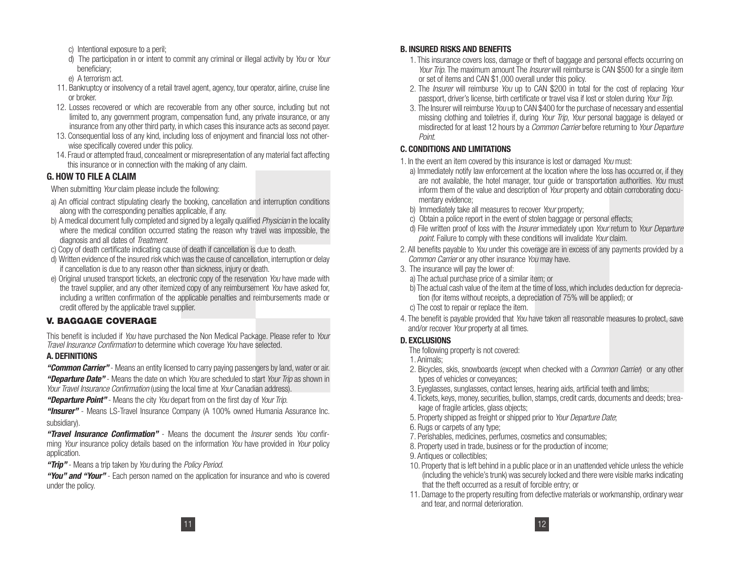- c) Intentional exposure to a peril;
- d) The participation in or intent to commit any criminal or illegal activity by You or Your beneficiary;
- e) A terrorism act.
- 11. Bankruptcy or insolvency of a retail travel agent, agency, tour operator, airline, cruise line or broker.
- 12. Losses recovered or which are recoverable from any other source, including but not limited to, any government program, compensation fund, any private insurance, or any insurance from any other third party, in which cases this insurance acts as second payer.
- 13. Consequential loss of any kind, including loss of enjoyment and financial loss not otherwise specifically covered under this policy.
- 14. Fraud or attempted fraud, concealment or misrepresentation of any material fact affecting this insurance or in connection with the making of any claim.

# **G. HOW TO FILE A CLAIM**

When submitting Your claim please include the following:

- a) An official contract stipulating clearly the booking, cancellation and interruption conditions along with the corresponding penalties applicable, if any.
- b) A medical document fully completed and signed by a legally qualified *Physician* in the locality where the medical condition occurred stating the reason why travel was impossible, the diagnosis and all dates of Treatment.
- c) Copy of death certificate indicating cause of death if cancellation is due to death.
- d) Written evidence of the insured risk which was the cause of cancellation, interruption or delay if cancellation is due to any reason other than sickness, injury or death.
- e) Original unused transport tickets, an electronic copy of the reservation You have made with the travel supplier, and any other itemized copy of any reimbursement You have asked for, including a written confirmation of the applicable penalties and reimbursements made or credit offered by the applicable travel supplier.

# **V. BAGGAGE COVERAGE**

This benefit is included if You have purchased the Non Medical Package. Please refer to Your Travel Insurance Confirmation to determine which coverage You have selected.

# **A. DEFINITIONS**

*"Common Carrier"* - Means an entity licensed to carry paying passengers by land, water or air. *"Departure Date"* - Means the date on which You are scheduled to start Your Trip as shown in Your Travel Insurance Confirmation (using the local time at Your Canadian address).

*"Departure Point"* - Means the city You depart from on the first day of Your Trip.

*"Insurer"* - Means LS-Travel Insurance Company (A 100% owned Humania Assurance Inc. subsidiary).

*"Travel Insurance Confirmation"* - Means the document the Insurer sends You confirming Your insurance policy details based on the information You have provided in Your policy application.

*"Trip"* - Means a trip taken by You during the Policy Period.

*"You" and "Your"* - Each person named on the application for insurance and who is covered under the policy.

## **B. INSURED RISKS AND BENEFITS**

- 1. This insurance covers loss, damage or theft of baggage and personal effects occurring on Your Trip. The maximum amount The *Insurer* will reimburse is CAN \$500 for a single item or set of items and CAN \$1,000 overall under this policy.
- 2. The *Insurer* will reimburse You up to CAN \$200 in total for the cost of replacing Your passport, driver's license, birth certificate or travel visa if lost or stolen during Your Trip.
- 3. The Insurer will reimburse You up to CAN \$400 for the purchase of necessary and essential missing clothing and toiletries if, during Your Trip, Your personal baggage is delayed or misdirected for at least 12 hours by a Common Carrier before returning to Your Departure Point.

# **C. CONDITIONS AND LIMITATIONS**

- 1. In the event an item covered by this insurance is lost or damaged You must:
	- a) Immediately notify law enforcement at the location where the loss has occurred or, if they are not available, the hotel manager, tour guide or transportation authorities. You must inform them of the value and description of Your property and obtain corroborating documentary evidence;
	- b) Immediately take all measures to recover Your property;
	- c) Obtain a police report in the event of stolen baggage or personal effects;
	- d) File written proof of loss with the *Insurer* immediately upon *Your* return to *Your Departure* point. Failure to comply with these conditions will invalidate Your claim.
- 2. All benefits payable to You under this coverage are in excess of any payments provided by a Common Carrier or any other insurance You may have.
- 3. The insurance will pay the lower of:
	- a) The actual purchase price of a similar item; or
	- b) The actual cash value of the item at the time of loss, which includes deduction for depreciation (for items without receipts, a depreciation of 75% will be applied); or
	- c) The cost to repair or replace the item.
- 4. The benefit is payable provided that You have taken all reasonable measures to protect, save and/or recover Your property at all times.

# **D. EXCLUSIONS**

- The following property is not covered:
- 1. Animals;
- 2. Bicycles, skis, snowboards (except when checked with a *Common Carrier*) or any other types of vehicles or conveyances;
- 3. Eyeglasses, sunglasses, contact lenses, hearing aids, artificial teeth and limbs;
- 4. Tickets, keys, money, securities, bullion, stamps, credit cards, documents and deeds; breakage of fragile articles, glass objects;
- 5. Property shipped as freight or shipped prior to Your Departure Date;
- 6. Rugs or carpets of any type;
- 7. Perishables, medicines, perfumes, cosmetics and consumables;
- 8. Property used in trade, business or for the production of income;
- 9. Antiques or collectibles;
- 10. Property that is left behind in a public place or in an unattended vehicle unless the vehicle (including the vehicle's trunk) was securely locked and there were visible marks indicating that the theft occurred as a result of forcible entry; or
- 11. Damage to the property resulting from defective materials or workmanship, ordinary wear and tear, and normal deterioration.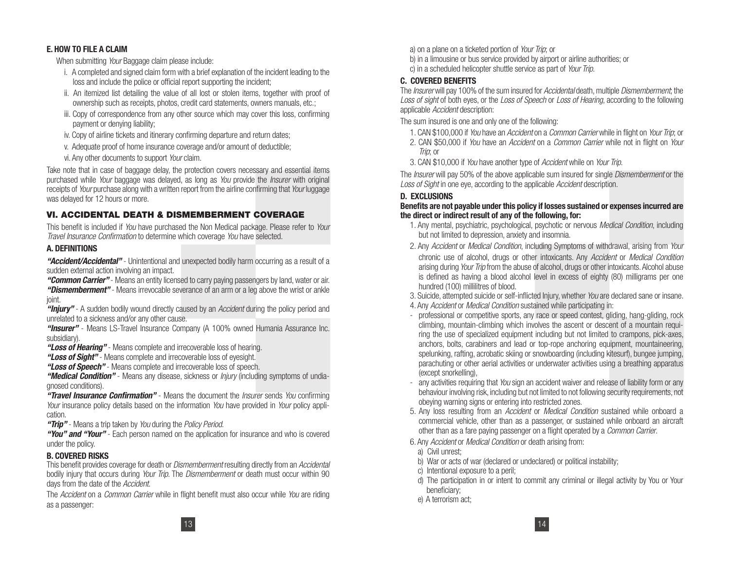#### **E. HOW TO FILE A CLAIM**

When submitting Your Baggage claim please include:

- i. A completed and signed claim form with a brief explanation of the incident leading to the loss and include the police or official report supporting the incident;
- ii. An itemized list detailing the value of all lost or stolen items, together with proof of ownership such as receipts, photos, credit card statements, owners manuals, etc.;
- iii. Copy of correspondence from any other source which may cover this loss, confirming payment or denying liability;
- iv. Copy of airline tickets and itinerary confirming departure and return dates;
- v. Adequate proof of home insurance coverage and/or amount of deductible;
- vi. Any other documents to support Your claim.

Take note that in case of baggage delay, the protection covers necessary and essential items purchased while Your baggage was delayed, as long as You provide the *Insurer* with original receipts of Your purchase along with a written report from the airline confirming that Your luggage was delayed for 12 hours or more.

# **VI. ACCIDENTAL DEATH & DISMEMBERMENT COVERAGE**

This benefit is included if You have purchased the Non Medical package. Please refer to Your Travel Insurance Confirmation to determine which coverage You have selected.

## **A. DEFINITIONS**

*"Accident/Accidental"* - Unintentional and unexpected bodily harm occurring as a result of a sudden external action involving an impact.

*"Common Carrier"* - Means an entity licensed to carry paying passengers by land, water or air. *"Dismemberment"* - Means irrevocable severance of an arm or a leg above the wrist or ankle joint.

"**Injury**" - A sudden bodily wound directly caused by an *Accident* during the policy period and unrelated to a sickness and/or any other cause.

*"Insurer"* - Means LS-Travel Insurance Company (A 100% owned Humania Assurance Inc. subsidiary).

*"Loss of Hearing"* - Means complete and irrecoverable loss of hearing.

*"Loss of Sight"* - Means complete and irrecoverable loss of eyesight.

*"Loss of Speech"* - Means complete and irrecoverable loss of speech.

*"Medical Condition"* - Means any disease, sickness or Injury (including symptoms of undiagnosed conditions).

*"Travel Insurance Confirmation"* - Means the document the Insurer sends You confirming Your insurance policy details based on the information You have provided in Your policy application.

*"Trip"* - Means a trip taken by You during the Policy Period.

*"You" and "Your"* - Each person named on the application for insurance and who is covered under the policy.

## **B. COVERED RISKS**

This benefit provides coverage for death or *Dismemberment* resulting directly from an *Accidental* bodily injury that occurs during Your Trip. The Dismemberment or death must occur within 90 days from the date of the Accident.

The Accident on a Common Carrier while in flight benefit must also occur while You are riding as a passenger:

a) on a plane on a ticketed portion of Your Trip; or

- b) in a limousine or bus service provided by airport or airline authorities; or
- c) in a scheduled helicopter shuttle service as part of Your Trip.

## **C. COVERED BENEFITS**

The *Insurer* will pay 100% of the sum insured for *Accidental* death, multiple *Dismemberment*; the Loss of sight of both eyes, or the Loss of Speech or Loss of Hearing, according to the following applicable Accident description:

The sum insured is one and only one of the following:

- 1. CAN \$100,000 if You have an Accident on a Common Carrier while in flight on Your Trip; or
- 2. CAN \$50,000 if You have an *Accident* on a *Common Carrier* while not in flight on Your Trip; or
- 3. CAN \$10,000 if You have another type of Accident while on Your Trip.

The *Insurer* will pay 50% of the above applicable sum insured for single *Dismemberment* or the Loss of Sight in one eye, according to the applicable Accident description.

# **D. EXCLUSIONS**

#### **Benefits are not payable under this policy if losses sustained or expenses incurred are the direct or indirect result of any of the following, for:**

- 1. Any mental, psychiatric, psychological, psychotic or nervous Medical Condition, including but not limited to depression, anxiety and insomnia.
- 2. Any Accident or Medical Condition, including Symptoms of withdrawal, arising from Your chronic use of alcohol, drugs or other intoxicants. Any Accident or Medical Condition arising during Your Trip from the abuse of alcohol, drugs or other intoxicants. Alcohol abuse is defined as having a blood alcohol level in excess of eighty (80) milligrams per one hundred (100) millilitres of blood.

3. Suicide, attempted suicide or self-inflicted Injury, whether You are declared sane or insane.

- 4. Any Accident or Medical Condition sustained while participating in:
- professional or competitive sports, any race or speed contest, gliding, hang-gliding, rock climbing, mountain-climbing which involves the ascent or descent of a mountain requiring the use of specialized equipment including but not limited to crampons, pick-axes, anchors, bolts, carabiners and lead or top-rope anchoring equipment, mountaineering, spelunking, rafting, acrobatic skiing or snowboarding (including kitesurf), bungee jumping, parachuting or other aerial activities or underwater activities using a breathing apparatus (except snorkelling),
- any activities requiring that You sign an accident waiver and release of liability form or any behaviour involving risk, including but not limited to not following security requirements, not obeying warning signs or entering into restricted zones.
- 5. Any loss resulting from an Accident or Medical Condition sustained while onboard a commercial vehicle, other than as a passenger, or sustained while onboard an aircraft other than as a fare paying passenger on a flight operated by a Common Carrier.
- 6. Any Accident or Medical Condition or death arising from:
	- a) Civil unrest;
	- b) War or acts of war (declared or undeclared) or political instability;
	- c) Intentional exposure to a peril;
	- d) The participation in or intent to commit any criminal or illegal activity by You or Your beneficiary;
	- e) A terrorism act;